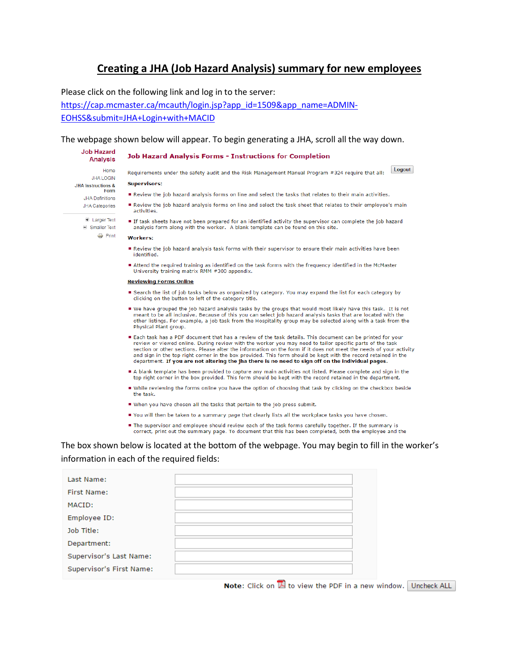# Creating a JHA (Job Hazard Analysis) summary for new employees

Please click on the following link and log in to the server:

https://cap.mcmaster.ca/mcauth/login.jsp?app id=1509&app name=ADMIN-

EOHSS&submit=JHA+Login+with+MACID

### The webpage shown below will appear. To begin generating a JHA, scroll all the way down.

#### **Job Hazard Job Hazard Analysis Forms - Instructions for Completion Analysis**

Home JHA LOGIN **JHA Instructions &** Form **JHA Definitions** JHA Categories

E Larger Text

- $\Box$  Smaller Text
	- **Print**
- Requirements under the safety audit and the Risk Management Manual Program #324 require that all: **Supervisors:**

Logout

- Review the job hazard analysis forms on line and select the tasks that relates to their main activities.
- Review the job hazard analysis forms on line and select the task sheet that relates to their employee's main activities.
- If task sheets have not been prepared for an identified activity the supervisor can complete the job hazard analysis form along with the worker. A blank template can be found on this site.

### **Workers:**

- Review the job hazard analysis task forms with their supervisor to ensure their main activities have been identified.
- Attend the required training as identified on the task forms with the frequency identified in the McMaster<br>University training matrix RMM #300 appendix.

#### **Reviewing Forms Online**

- Search the list of job tasks below as organized by category. You may expand the list for each category by clicking on the button to left of the category title.
- We have grouped the job hazard analysis tasks by the groups that would most likely have this task. It is not meant to be all inclusive. Because of this you can select job hazard analysis tasks that are located with the other listings. For example, a job task from the Hospitality group may be selected along with a task from the Physical Plant group.
- Each task has a PDF document that has a review of the task details. This document can be printed for your review or viewed online. During review with the worker you may need to tailor specific parts of the task<br>section or other sections. Please alter the information on the form if it does not meet the needs of your activity and sign in the top right corner in the box provided. This form should be kept with the record retained in the department. If you are not altering the jha there is no need to sign off on the individual pages.
- A blank template has been provided to capture any main activities not listed. Please complete and sign in the top right corner in the box provided. This form should be kept with the record retained in the department.
- While reviewing the forms online you have the option of choosing that task by clicking on the checkbox beside the task
- When you have chosen all the tasks that pertain to the job press submit.
- You will then be taken to a summary page that clearly lists all the workplace tasks you have chosen.
- The supervisor and employee should review each of the task forms carefully together. If the summary is correct, print out the summary page. To document that this has been completed, both the employee and the

## The box shown below is located at the bottom of the webpage. You may begin to fill in the worker's information in each of the required fields:

| Last Name:               |  |
|--------------------------|--|
| First Name:              |  |
| MACID:                   |  |
| Employee ID:             |  |
| Job Title:               |  |
| Department:              |  |
| Supervisor's Last Name:  |  |
| Supervisor's First Name: |  |

**Note:** Click on  $\mathbb{Z}$  to view the PDF in a new window. Uncheck ALL